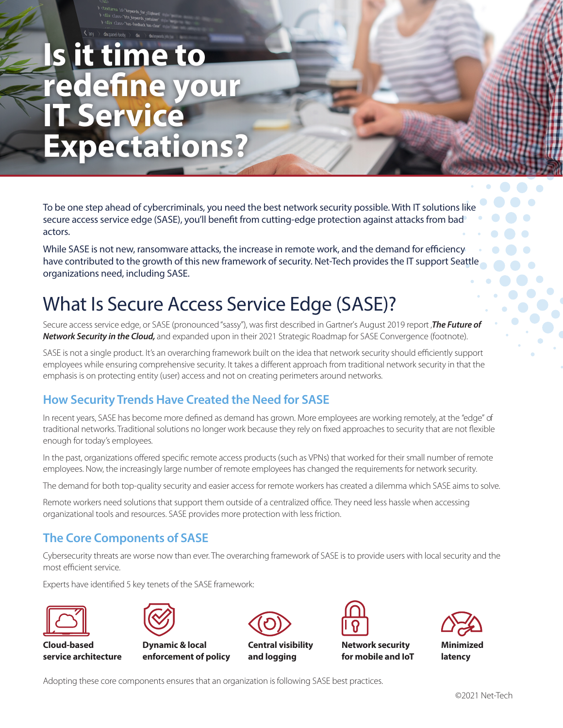# **Is it time to redefine your IT Service Expectations?**

To be one step ahead of cybercriminals, you need the best network security possible. With IT solutions like secure access service edge (SASE), you'll benefit from cutting-edge protection against attacks from bad actors.

While SASE is not new, ransomware attacks, the increase in remote work, and the demand for efficiency have contributed to the growth of this new framework of security. Net-Tech provides the IT support Seattle organizations need, including SASE.

# What Is Secure Access Service Edge (SASE)?

Secure access service edge, or SASE (pronounced "sassy"), was first described in Gartner's August 2019 report ,**The Future of Network Security in the Cloud,** and expanded upon in their 2021 Strategic Roadmap for SASE Convergence (footnote).

SASE is not a single product. It's an overarching framework built on the idea that network security should efficiently support employees while ensuring comprehensive security. It takes a different approach from traditional network security in that the emphasis is on protecting entity (user) access and not on creating perimeters around networks.

# **How Security Trends Have Created the Need for SASE**

In recent years, SASE has become more defined as demand has grown. More employees are working remotely, at the "edge" of traditional networks. Traditional solutions no longer work because they rely on fixed approaches to security that are not flexible enough for today's employees.

In the past, organizations offered specific remote access products (such as VPNs) that worked for their small number of remote employees. Now, the increasingly large number of remote employees has changed the requirements for network security.

The demand for both top-quality security and easier access for remote workers has created a dilemma which SASE aims to solve.

Remote workers need solutions that support them outside of a centralized office. They need less hassle when accessing organizational tools and resources. SASE provides more protection with less friction.

# **The Core Components of SASE**

Cybersecurity threats are worse now than ever. The overarching framework of SASE is to provide users with local security and the most efficient service.

Experts have identified 5 key tenets of the SASE framework:



**Cloud-based service architecture**



**Dynamic & local enforcement of policy**



**Central visibility and logging**



**Network security for mobile and IoT**



Adopting these core components ensures that an organization is following SASE best practices.

©2021 Net-Tech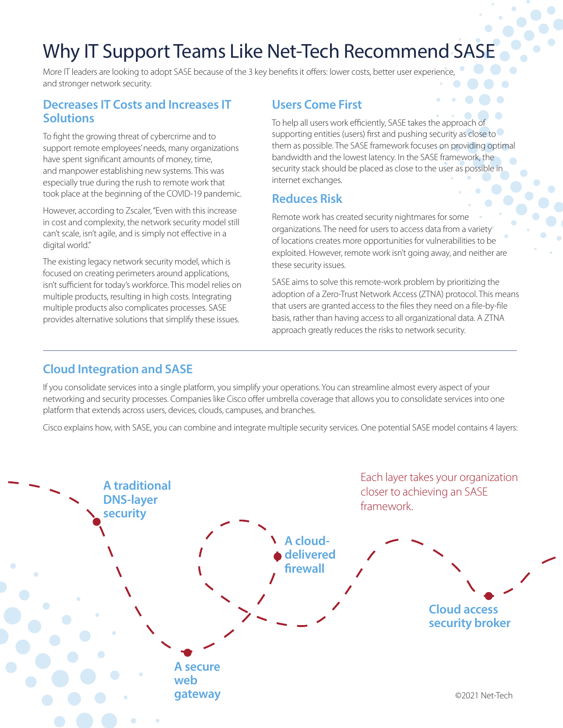# Why IT Support Teams Like Net-Tech Recommend SASE

More IT leaders are looking to adopt SASE because of the 3 key benefits it offers: lower costs, better user experience, and stronger network security.

#### **Decreases IT Costs and Increases IT Solutions**

To fight the growing threat of cybercrime and to support remote employees' needs, many organizations have spent significant amounts of money, time, and manpower establishing new systems. This was especially true during the rush to remote work that took place at the beginning of the COVID-19 pandemic.

However, according to Zscaler, "Even with this increase in cost and complexity, the network security model still can't scale, isn't agile, and is simply not effective in a digital world."

The existing legacy network security model, which is focused on creating perimeters around applications, isn't sufficient for today's workforce. This model relies on multiple products, resulting in high costs. Integrating multiple products also complicates processes. SASE provides alternative solutions that simplify these issues.

### **Users Come First**

To help all users work efficiently, SASE takes the approach of supporting entities (users) first and pushing security as close to them as possible. The SASE framework focuses on providing optimal bandwidth and the lowest latency. In the SASE framework, the security stack should be placed as close to the user as possible in internet exchanges.

### **Reduces Risk**

Remote work has created security nightmares for some organizations. The need for users to access data from a variety of locations creates more opportunities for vulnerabilities to be exploited. However, remote work isn't going away, and neither are these security issues.

SASE aims to solve this remote-work problem by prioritizing the adoption of a Zero-Trust Network Access (ZTNA) protocol. This means that users are granted access to the files they need on a file-by-file basis, rather than having access to all organizational data. A ZTNA approach greatly reduces the risks to network security.

### **Cloud Integration and SASE**

If you consolidate services into a single platform, you simplify your operations. You can streamline almost every aspect of your networking and security processes. Companies like Cisco offer umbrella coverage that allows you to consolidate services into one platform that extends across users, devices, clouds, campuses, and branches.

Cisco explains how, with SASE, you can combine and integrate multiple security services. One potential SASE model contains 4 layers: